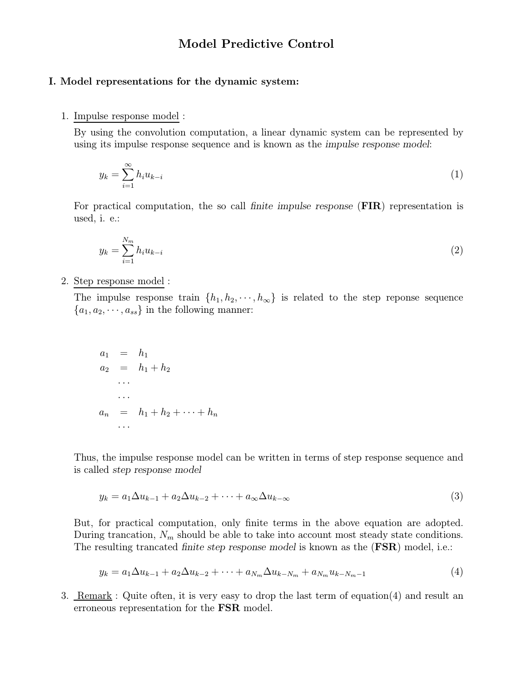# Model Predictive Control

### I. Model representations for the dynamic system:

#### 1. Impulse response model :

By using the convolution computation, a linear dynamic system can be represented by using its impulse response sequence and is known as the impulse response model:

$$
y_k = \sum_{i=1}^{\infty} h_i u_{k-i} \tag{1}
$$

For practical computation, the so call finite impulse response (FIR) representation is used, i. e.:

$$
y_k = \sum_{i=1}^{N_m} h_i u_{k-i}
$$
 (2)

2. Step response model :

The impulse response train  $\{h_1, h_2, \dots, h_\infty\}$  is related to the step reponse sequence  ${a_1, a_2, \dots, a_{ss}}$  in the following manner:

$$
a_1 = h_1 a_2 = h_1 + h_2 \n... a_n = h_1 + h_2 + \dots + h_n \n... \n...
$$

Thus, the impulse response model can be written in terms of step response sequence and is called step response model

$$
y_k = a_1 \Delta u_{k-1} + a_2 \Delta u_{k-2} + \dots + a_\infty \Delta u_{k-\infty}
$$
\n<sup>(3)</sup>

But, for practical computation, only finite terms in the above equation are adopted. During trancation,  $N_m$  should be able to take into account most steady state conditions. The resulting trancated finite step response model is known as the (**FSR**) model, i.e.:

$$
y_k = a_1 \Delta u_{k-1} + a_2 \Delta u_{k-2} + \dots + a_{N_m} \Delta u_{k-N_m} + a_{N_m} u_{k-N_m-1}
$$
\n(4)

3. Remark : Quite often, it is very easy to drop the last term of equation(4) and result an erroneous representation for the FSR model.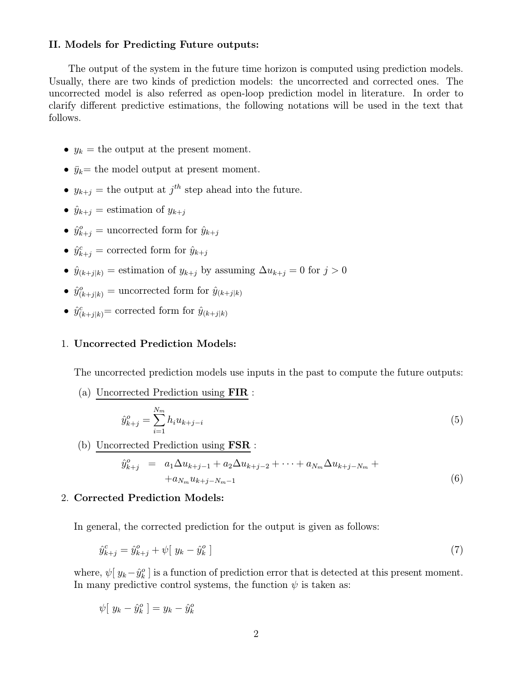### II. Models for Predicting Future outputs:

The output of the system in the future time horizon is computed using prediction models. Usually, there are two kinds of prediction models: the uncorrected and corrected ones. The uncorrected model is also referred as open-loop prediction model in literature. In order to clarify different predictive estimations, the following notations will be used in the text that follows.

- $y_k$  = the output at the present moment.
- $\bar{y}_k$  = the model output at present moment.
- $y_{k+j}$  = the output at  $j^{th}$  step ahead into the future.
- $\hat{y}_{k+j}$  = estimation of  $y_{k+j}$
- $\hat{y}_{k+j}^o$  = uncorrected form for  $\hat{y}_{k+j}$
- $\hat{y}_{k+j}^c$  = corrected form for  $\hat{y}_{k+j}$
- $\hat{y}_{(k+j|k)} =$  estimation of  $y_{k+j}$  by assuming  $\Delta u_{k+j} = 0$  for  $j > 0$
- $\hat{y}^o_{(k+j|k)} =$  uncorrected form for  $\hat{y}_{(k+j|k)}$
- $\hat{y}^c_{(k+j|k)}$  = corrected form for  $\hat{y}_{(k+j|k)}$

### 1. Uncorrected Prediction Models:

The uncorrected prediction models use inputs in the past to compute the future outputs:

(a) Uncorrected Prediction using FIR :

$$
\hat{y}_{k+j}^o = \sum_{i=1}^{N_m} h_i u_{k+j-i} \tag{5}
$$

(b) Uncorrected Prediction using FSR :

$$
\hat{y}_{k+j}^o = a_1 \Delta u_{k+j-1} + a_2 \Delta u_{k+j-2} + \dots + a_{N_m} \Delta u_{k+j-N_m} + a_{N_m} u_{k+j-N_m-1}
$$
\n(6)

### 2. Corrected Prediction Models:

In general, the corrected prediction for the output is given as follows:

$$
\hat{y}_{k+j}^c = \hat{y}_{k+j}^o + \psi[ y_k - \hat{y}_k^o ] \tag{7}
$$

where,  $\psi [y_k - \hat{y}_k^o]$  is a function of prediction error that is detected at this present moment. In many predictive control systems, the function  $\psi$  is taken as:

$$
\psi[ y_k - \hat{y}_k^o ] = y_k - \hat{y}_k^o
$$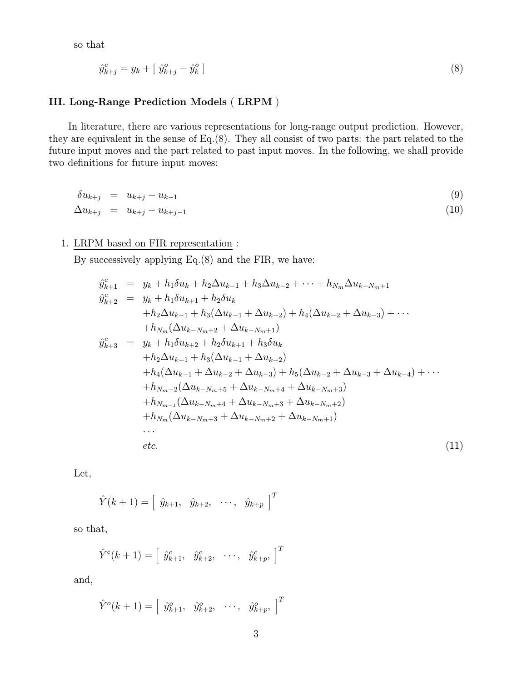so that

$$
\hat{y}_{k+j}^c = y_k + \left[\hat{y}_{k+j}^o - \hat{y}_k^o\right] \tag{8}
$$

## III. Long-Range Prediction Models ( LRPM )

In literature, there are various representations for long-range output prediction. However, they are equivalent in the sense of Eq.(8). They all consist of two parts: the part related to the future input moves and the part related to past input moves. In the following, we shall provide two definitions for future input moves:

$$
\begin{array}{rcl}\n\delta u_{k+j} & = & u_{k+j} - u_{k-1} \\
\Delta u_{k+j} & = & u_{k+j} - u_{k+j-1}\n\end{array}\n\tag{9}
$$

# 1. LRPM based on FIR representation :

By successively applying Eq.(8) and the FIR, we have:

$$
\hat{y}_{k+1}^{c} = y_{k} + h_{1}\delta u_{k} + h_{2}\Delta u_{k-1} + h_{3}\Delta u_{k-2} + \cdots + h_{N_{m}}\Delta u_{k-N_{m}+1}
$$
\n
$$
\hat{y}_{k+2}^{c} = y_{k} + h_{1}\delta u_{k+1} + h_{2}\delta u_{k}
$$
\n
$$
+ h_{2}\Delta u_{k-1} + h_{3}(\Delta u_{k-1} + \Delta u_{k-2}) + h_{4}(\Delta u_{k-2} + \Delta u_{k-3}) + \cdots
$$
\n
$$
+ h_{N_{m}}(\Delta u_{k-N_{m}+2} + \Delta u_{k-N_{m}+1})
$$
\n
$$
\hat{y}_{k+3}^{c} = y_{k} + h_{1}\delta u_{k+2} + h_{2}\delta u_{k+1} + h_{3}\delta u_{k}
$$
\n
$$
+ h_{2}\Delta u_{k-1} + h_{3}(\Delta u_{k-1} + \Delta u_{k-2})
$$
\n
$$
+ h_{4}(\Delta u_{k-1} + \Delta u_{k-2} + \Delta u_{k-3}) + h_{5}(\Delta u_{k-2} + \Delta u_{k-3} + \Delta u_{k-4}) + \cdots
$$
\n
$$
+ h_{N_{m-2}}(\Delta u_{k-N_{m}+5} + \Delta u_{k-N_{m}+4} + \Delta u_{k-N_{m}+3})
$$
\n
$$
+ h_{N_{m-1}}(\Delta u_{k-N_{m}+4} + \Delta u_{k-N_{m}+3} + \Delta u_{k-N_{m}+2})
$$
\n
$$
+ h_{N_{m}}(\Delta u_{k-N_{m}+3} + \Delta u_{k-N_{m}+2} + \Delta u_{k-N_{m}+1})
$$
\n...  
\netc. (11)

Let,

$$
\hat{Y}(k+1) = \left[\begin{array}{cccc} \hat{y}_{k+1}, & \hat{y}_{k+2}, & \cdots, & \hat{y}_{k+p} \end{array}\right]^T
$$

so that,

$$
\hat{Y}^c(k+1) = [\hat{y}^c_{k+1}, \hat{y}^c_{k+2}, \cdots, \hat{y}^c_{k+p}, ]^T
$$

and,

$$
\hat{Y}^o(k+1) = [\hat{y}^o_{k+1}, \hat{y}^o_{k+2}, \cdots, \hat{y}^o_{k+p}, ]^T
$$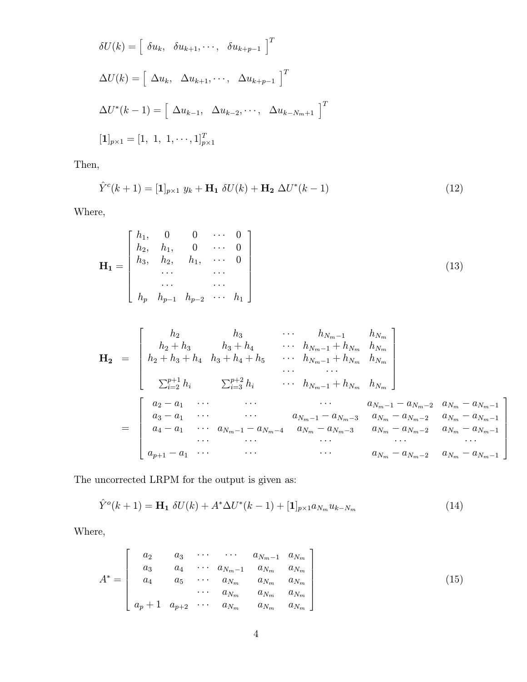$$
\delta U(k) = \begin{bmatrix} \delta u_k, & \delta u_{k+1}, \dots, & \delta u_{k+p-1} \end{bmatrix}^T
$$
\n
$$
\Delta U(k) = \begin{bmatrix} \Delta u_k, & \Delta u_{k+1}, \dots, & \Delta u_{k+p-1} \end{bmatrix}^T
$$
\n
$$
\Delta U^*(k-1) = \begin{bmatrix} \Delta u_{k-1}, & \Delta u_{k-2}, \dots, & \Delta u_{k-N_m+1} \end{bmatrix}^T
$$
\n
$$
[\mathbf{1}]_{p \times 1} = [1, 1, 1, \dots, 1]_{p \times 1}^T
$$

Then,

$$
\hat{Y}^{c}(k+1) = [\mathbf{1}]_{p \times 1} y_{k} + \mathbf{H}_{1} \, \delta U(k) + \mathbf{H}_{2} \, \Delta U^{*}(k-1) \tag{12}
$$

Where,

$$
\mathbf{H}_{1} = \begin{bmatrix} h_{1}, & 0 & 0 & \cdots & 0 \\ h_{2}, & h_{1}, & 0 & \cdots & 0 \\ h_{3}, & h_{2}, & h_{1}, & \cdots & 0 \\ \cdots & \cdots & \cdots & \cdots \\ h_{p} & h_{p-1} & h_{p-2} & \cdots & h_{1} \end{bmatrix}
$$
(13)

H<sup>2</sup> = <sup>h</sup><sup>2</sup> <sup>h</sup><sup>3</sup> ··· <sup>h</sup><sup>N</sup>m−<sup>1</sup> <sup>h</sup><sup>N</sup><sup>m</sup> <sup>h</sup><sup>2</sup> <sup>+</sup> <sup>h</sup><sup>3</sup> <sup>h</sup><sup>3</sup> <sup>+</sup> <sup>h</sup><sup>4</sup> ··· <sup>h</sup><sup>N</sup>m−<sup>1</sup> <sup>+</sup> <sup>h</sup><sup>N</sup><sup>m</sup> <sup>h</sup><sup>N</sup><sup>m</sup> <sup>h</sup><sup>2</sup> <sup>+</sup> <sup>h</sup><sup>3</sup> <sup>+</sup> <sup>h</sup><sup>4</sup> <sup>h</sup><sup>3</sup> <sup>+</sup> <sup>h</sup><sup>4</sup> <sup>+</sup> <sup>h</sup><sup>5</sup> ··· <sup>h</sup><sup>N</sup>m−<sup>1</sup> <sup>+</sup> <sup>h</sup><sup>N</sup><sup>m</sup> <sup>h</sup><sup>N</sup><sup>m</sup> ··· ··· p+1 <sup>i</sup>=2 h<sup>i</sup> p+2 <sup>i</sup>=3 <sup>h</sup><sup>i</sup> ··· <sup>h</sup><sup>N</sup>m−<sup>1</sup> <sup>+</sup> <sup>h</sup><sup>N</sup><sup>m</sup> <sup>h</sup><sup>N</sup><sup>m</sup> = <sup>a</sup><sup>2</sup> <sup>−</sup> <sup>a</sup><sup>1</sup> ··· ··· ··· <sup>a</sup><sup>N</sup>m−<sup>1</sup> <sup>−</sup> <sup>a</sup><sup>N</sup>m−<sup>2</sup> <sup>a</sup><sup>N</sup><sup>m</sup> <sup>−</sup> <sup>a</sup><sup>N</sup>m−<sup>1</sup> <sup>a</sup><sup>3</sup> <sup>−</sup> <sup>a</sup><sup>1</sup> ··· ··· <sup>a</sup><sup>N</sup>m−<sup>1</sup> <sup>−</sup> <sup>a</sup><sup>N</sup>m−<sup>3</sup> <sup>a</sup><sup>N</sup><sup>m</sup> <sup>−</sup> <sup>a</sup><sup>N</sup>m−<sup>2</sup> <sup>a</sup><sup>N</sup><sup>m</sup> <sup>−</sup> <sup>a</sup><sup>N</sup>m−<sup>1</sup> <sup>a</sup><sup>4</sup> <sup>−</sup> <sup>a</sup><sup>1</sup> ··· <sup>a</sup><sup>N</sup>m−<sup>1</sup> <sup>−</sup> <sup>a</sup><sup>N</sup>m−<sup>4</sup> <sup>a</sup><sup>N</sup><sup>m</sup> <sup>−</sup> <sup>a</sup><sup>N</sup>m−<sup>3</sup> <sup>a</sup><sup>N</sup><sup>m</sup> <sup>−</sup> <sup>a</sup><sup>N</sup>m−<sup>2</sup> <sup>a</sup><sup>N</sup><sup>m</sup> <sup>−</sup> <sup>a</sup><sup>N</sup>m−<sup>1</sup> ··· ··· ··· ··· ··· <sup>a</sup><sup>p</sup>+1 <sup>−</sup> <sup>a</sup><sup>1</sup> ··· ··· ··· <sup>a</sup><sup>N</sup><sup>m</sup> <sup>−</sup> <sup>a</sup><sup>N</sup>m−<sup>2</sup> <sup>a</sup><sup>N</sup><sup>m</sup> <sup>−</sup> <sup>a</sup><sup>N</sup>m−<sup>1</sup> 

The uncorrected LRPM for the output is given as:

$$
\hat{Y}^{o}(k+1) = \mathbf{H}_{1} \delta U(k) + A^{*} \Delta U^{*}(k-1) + [\mathbf{1}]_{p \times 1} a_{N_{m}} u_{k-N_{m}}
$$
\n(14)

Where,

$$
A^* = \begin{bmatrix} a_2 & a_3 & \cdots & \cdots & a_{N_m-1} & a_{N_m} \\ a_3 & a_4 & \cdots & a_{N_m-1} & a_{N_m} & a_{N_m} \\ a_4 & a_5 & \cdots & a_{N_m} & a_{N_m} & a_{N_m} \\ \cdots & a_{N_m} & a_{N_m} & a_{N_m} \\ a_p+1 & a_{p+2} & \cdots & a_{N_m} & a_{N_m} & a_{N_m} \end{bmatrix}
$$
(15)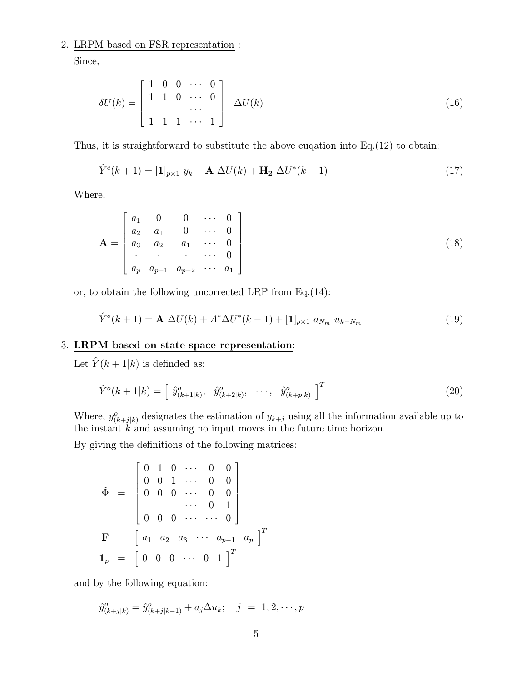# 2. LRPM based on FSR representation :

Since,

$$
\delta U(k) = \begin{bmatrix} 1 & 0 & 0 & \cdots & 0 \\ 1 & 1 & 0 & \cdots & 0 \\ & & & \cdots & \\ 1 & 1 & 1 & \cdots & 1 \end{bmatrix} \quad \Delta U(k) \tag{16}
$$

Thus, it is straightforward to substitute the above euqation into Eq.(12) to obtain:

$$
\hat{Y}^{c}(k+1) = [\mathbf{1}]_{p\times 1} y_k + \mathbf{A} \Delta U(k) + \mathbf{H}_2 \Delta U^*(k-1)
$$
\n(17)

Where,

$$
\mathbf{A} = \begin{bmatrix} a_1 & 0 & 0 & \cdots & 0 \\ a_2 & a_1 & 0 & \cdots & 0 \\ a_3 & a_2 & a_1 & \cdots & 0 \\ \vdots & \vdots & \vdots & \ddots & \vdots \\ a_p & a_{p-1} & a_{p-2} & \cdots & a_1 \end{bmatrix}
$$
(18)

or, to obtain the following uncorrected LRP from Eq.(14):

$$
\hat{Y}^{o}(k+1) = \mathbf{A} \ \Delta U(k) + A^* \Delta U^*(k-1) + [\mathbf{1}]_{p \times 1} \ a_{N_m} \ u_{k-N_m} \tag{19}
$$

### 3. LRPM based on state space representation:

Let  $\hat{Y}(k+1|k)$  is definded as:

$$
\hat{Y}^o(k+1|k) = \left[\begin{array}{cccc} \hat{y}^o_{(k+1|k)}, & \hat{y}^o_{(k+2|k)}, & \cdots, & \hat{y}^o_{(k+p|k)} \end{array}\right]^T
$$
\n(20)

Where,  $y_{(k+j|k)}^o$  designates the estimation of  $y_{k+j}$  using all the information available up to the instant  $k$  and assuming no input moves in the future time horizon.

By giving the definitions of the following matrices:

$$
\tilde{\Phi} = \begin{bmatrix} 0 & 1 & 0 & \cdots & 0 & 0 \\ 0 & 0 & 1 & \cdots & 0 & 0 \\ 0 & 0 & 0 & \cdots & 0 & 0 \\ \vdots & \vdots & \ddots & \vdots & \vdots & \vdots \\ 0 & 0 & 0 & \cdots & \cdots & 0 \end{bmatrix}
$$

$$
\mathbf{F} = \begin{bmatrix} a_1 & a_2 & a_3 & \cdots & a_{p-1} & a_p \end{bmatrix}^T
$$

$$
\mathbf{1}_p = \begin{bmatrix} 0 & 0 & 0 & \cdots & 0 & 1 \end{bmatrix}^T
$$

and by the following equation:

$$
\hat{y}_{(k+j|k)}^o = \hat{y}_{(k+j|k-1)}^o + a_j \Delta u_k; \quad j = 1, 2, \cdots, p
$$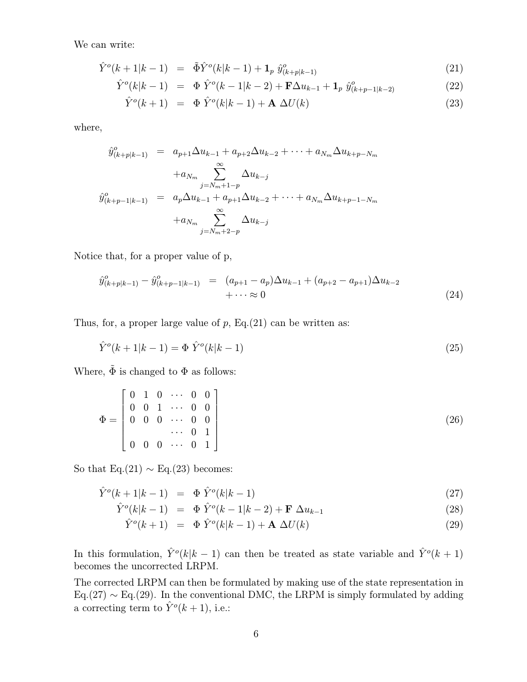We can write:

$$
\hat{Y}^o(k+1|k-1) = \tilde{\Phi}\hat{Y}^o(k|k-1) + \mathbf{1}_p \hat{y}^o_{(k+p|k-1)}
$$
\n(21)

$$
\hat{Y}^o(k|k-1) = \Phi \hat{Y}^o(k-1|k-2) + \mathbf{F}\Delta u_{k-1} + \mathbf{1}_p \hat{y}^o_{(k+p-1|k-2)} \tag{22}
$$

$$
\hat{Y}^o(k+1) = \Phi \hat{Y}^o(k|k-1) + \mathbf{A} \Delta U(k) \tag{23}
$$

where,

$$
\hat{y}_{(k+p|k-1)}^o = a_{p+1} \Delta u_{k-1} + a_{p+2} \Delta u_{k-2} + \dots + a_{N_m} \Delta u_{k+p-N_m}
$$
\n
$$
+ a_{N_m} \sum_{j=N_m+1-p}^{\infty} \Delta u_{k-j}
$$
\n
$$
\hat{y}_{(k+p-1|k-1)}^o = a_p \Delta u_{k-1} + a_{p+1} \Delta u_{k-2} + \dots + a_{N_m} \Delta u_{k+p-1-N_m}
$$
\n
$$
+ a_{N_m} \sum_{j=N_m+2-p}^{\infty} \Delta u_{k-j}
$$

Notice that, for a proper value of p,

$$
\hat{y}_{(k+p|k-1)}^o - \hat{y}_{(k+p-1|k-1)}^o = (a_{p+1} - a_p)\Delta u_{k-1} + (a_{p+2} - a_{p+1})\Delta u_{k-2} + \cdots \approx 0
$$
\n(24)

Thus, for, a proper large value of  $p$ , Eq.(21) can be written as:

$$
\hat{Y}^o(k+1|k-1) = \Phi \hat{Y}^o(k|k-1)
$$
\n(25)

Where,  $\tilde{\Phi}$  is changed to  $\Phi$  as follows:

$$
\Phi = \begin{bmatrix} 0 & 1 & 0 & \cdots & 0 & 0 \\ 0 & 0 & 1 & \cdots & 0 & 0 \\ 0 & 0 & 0 & \cdots & 0 & 0 \\ & & & & & & \\ 0 & 0 & 0 & \cdots & 0 & 1 \end{bmatrix}
$$
(26)

So that Eq.(21)  $\sim$  Eq.(23) becomes:

$$
\hat{Y}^o(k+1|k-1) = \Phi \hat{Y}^o(k|k-1) \tag{27}
$$

$$
\hat{Y}^o(k|k-1) = \Phi \hat{Y}^o(k-1|k-2) + \mathbf{F} \Delta u_{k-1}
$$
\n(28)

$$
\hat{Y}^o(k+1) = \Phi \hat{Y}^o(k|k-1) + \mathbf{A} \Delta U(k) \tag{29}
$$

In this formulation,  $\hat{Y}^o(k|k-1)$  can then be treated as state variable and  $\hat{Y}^o(k+1)$ becomes the uncorrected LRPM.

The corrected LRPM can then be formulated by making use of the state representation in Eq.(27)  $\sim$  Eq.(29). In the conventional DMC, the LRPM is simply formulated by adding a correcting term to  $\hat{Y}^o(k+1)$ , i.e.: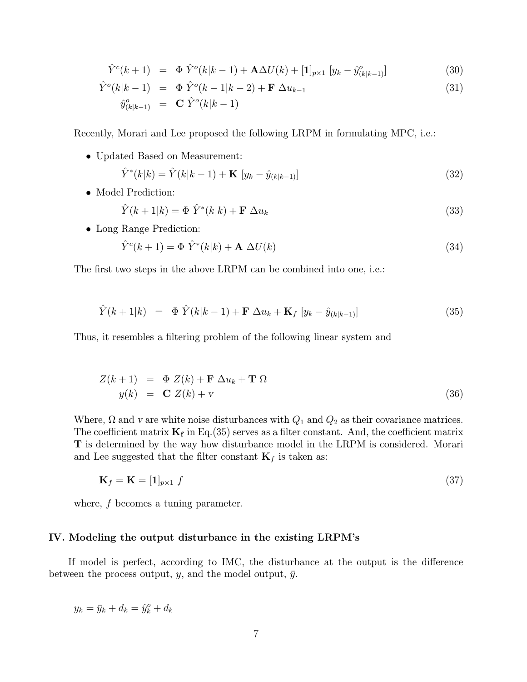$$
\hat{Y}^{c}(k+1) = \Phi \hat{Y}^{o}(k|k-1) + \mathbf{A}\Delta U(k) + [\mathbf{1}]_{p\times 1} [y_{k} - \hat{y}^{o}_{(k|k-1)}]
$$
\n(30)

$$
\hat{Y}^{o}(k|k-1) = \Phi \hat{Y}^{o}(k-1|k-2) + \mathbf{F} \Delta u_{k-1}
$$
\n(31)

$$
\hat{y}_{(k|k-1)}^o = \mathbf{C} \; \hat{Y}^o(k|k-1)
$$

Recently, Morari and Lee proposed the following LRPM in formulating MPC, i.e.:

• Updated Based on Measurement:

$$
\hat{Y}^*(k|k) = \hat{Y}(k|k-1) + \mathbf{K} \left[ y_k - \hat{y}_{(k|k-1)} \right]
$$
\n(32)

• Model Prediction:

$$
\hat{Y}(k+1|k) = \Phi \hat{Y}^*(k|k) + \mathbf{F} \Delta u_k \tag{33}
$$

• Long Range Prediction:

$$
\hat{Y}^c(k+1) = \Phi \; \hat{Y}^*(k|k) + \mathbf{A} \; \Delta U(k) \tag{34}
$$

The first two steps in the above LRPM can be combined into one, i.e.:

$$
\hat{Y}(k+1|k) = \Phi \hat{Y}(k|k-1) + \mathbf{F} \Delta u_k + \mathbf{K}_f \left[ y_k - \hat{y}_{(k|k-1)} \right] \tag{35}
$$

Thus, it resembles a filtering problem of the following linear system and

$$
Z(k+1) = \Phi Z(k) + \mathbf{F} \Delta u_k + \mathbf{T} \Omega
$$
  
\n
$$
y(k) = \mathbf{C} Z(k) + \mathbf{v}
$$
\n(36)

Where,  $\Omega$  and v are white noise disturbances with  $Q_1$  and  $Q_2$  as their covariance matrices. The coefficient matrix  $\mathbf{K}_{\mathbf{f}}$  in Eq.(35) serves as a filter constant. And, the coefficient matrix T is determined by the way how disturbance model in the LRPM is considered. Morari and Lee suggested that the filter constant  $\mathbf{K}_f$  is taken as:

$$
\mathbf{K}_f = \mathbf{K} = [\mathbf{1}]_{p \times 1} \, f \tag{37}
$$

where, f becomes a tuning parameter.

### IV. Modeling the output disturbance in the existing LRPM's

If model is perfect, according to IMC, the disturbance at the output is the difference between the process output, y, and the model output,  $\bar{y}$ .

 $y_k = \bar{y}_k + d_k = \hat{y}_k^o + d_k$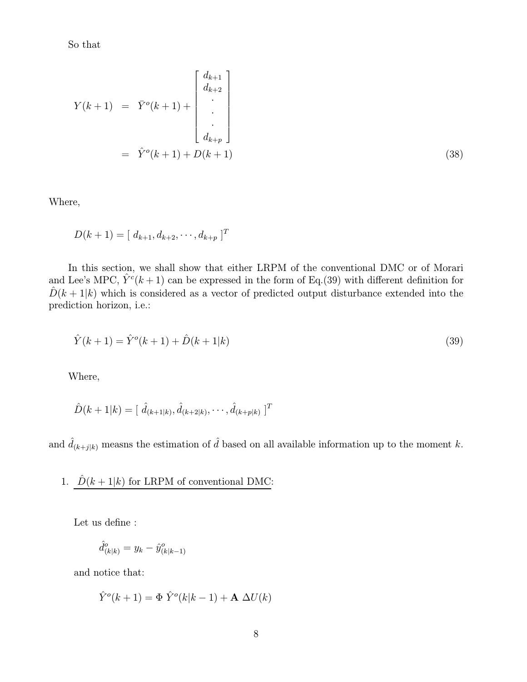So that

$$
Y(k+1) = \bar{Y}^o(k+1) + \begin{bmatrix} d_{k+1} \\ d_{k+2} \\ \vdots \\ d_{k+p} \end{bmatrix}
$$
  
=  $\hat{Y}^o(k+1) + D(k+1)$  (38)

Where,

$$
D(k+1) = [d_{k+1}, d_{k+2}, \cdots, d_{k+p}]^T
$$

In this section, we shall show that either LRPM of the conventional DMC or of Morari and Lee's MPC,  $\hat{Y}^c(k+1)$  can be expressed in the form of Eq.(39) with different definition for  $\hat{D}(k+1|k)$  which is considered as a vector of predicted output disturbance extended into the prediction horizon, i.e.:

$$
\hat{Y}(k+1) = \hat{Y}^o(k+1) + \hat{D}(k+1|k)
$$
\n(39)

Where,

$$
\hat{D}(k+1|k) = [\hat{d}_{(k+1|k)}, \hat{d}_{(k+2|k)}, \cdots, \hat{d}_{(k+p|k)}]^T
$$

and  $\hat{d}_{(k+j|k)}$  measns the estimation of  $\hat{d}$  based on all available information up to the moment k.

1. 
$$
\hat{D}(k+1|k)
$$
 for LRPM of conventional DMC:

Let us define :

$$
\hat{d}^o_{(k|k)} = y_k - \hat{y}^o_{(k|k-1)}
$$

and notice that:

$$
\hat{Y}^o(k+1) = \Phi \hat{Y}^o(k|k-1) + \mathbf{A} \Delta U(k)
$$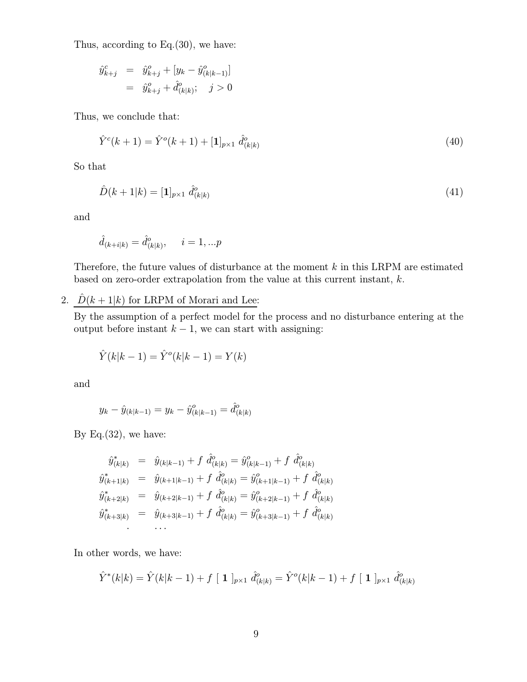Thus, according to Eq.(30), we have:

$$
\begin{array}{rcl}\n\hat{y}^c_{k+j} & = & \hat{y}^o_{k+j} + [y_k - \hat{y}^o_{(k|k-1)}] \\
& = & \hat{y}^o_{k+j} + \hat{d}^o_{(k|k)}; \quad j > 0\n\end{array}
$$

Thus, we conclude that:

$$
\hat{Y}^c(k+1) = \hat{Y}^o(k+1) + [\mathbf{1}]_{p \times 1} \; \hat{d}^o_{(k|k)} \tag{40}
$$

So that

$$
\hat{D}(k+1|k) = [\mathbf{1}]_{p \times 1} \; \hat{d}^o_{(k|k)} \tag{41}
$$

and

$$
\hat{d}_{(k+i|k)} = \hat{d}^o_{(k|k)}, \quad i = 1, ... p
$$

Therefore, the future values of disturbance at the moment  $k$  in this LRPM are estimated based on zero-order extrapolation from the value at this current instant, k.

2.  $\hat{D}(k+1|k)$  for LRPM of Morari and Lee:

By the assumption of a perfect model for the process and no disturbance entering at the output before instant  $k - 1$ , we can start with assigning:

$$
\hat{Y}(k|k-1) = \hat{Y}^o(k|k-1) = Y(k)
$$

and

$$
y_k - \hat{y}_{(k|k-1)} = y_k - \hat{y}_{(k|k-1)}^o = \hat{d}_{(k|k)}^o
$$

By Eq. $(32)$ , we have:

$$
\hat{y}_{(k|k)}^* = \hat{y}_{(k|k-1)} + f \hat{d}_{(k|k)}^o = \hat{y}_{(k|k-1)}^o + f \hat{d}_{(k|k)}^o
$$
\n
$$
\hat{y}_{(k+1|k)}^* = \hat{y}_{(k+1|k-1)} + f \hat{d}_{(k|k)}^o = \hat{y}_{(k+1|k-1)}^o + f \hat{d}_{(k|k)}^o
$$
\n
$$
\hat{y}_{(k+2|k)}^* = \hat{y}_{(k+2|k-1)} + f \hat{d}_{(k|k)}^o = \hat{y}_{(k+2|k-1)}^o + f \hat{d}_{(k|k)}^o
$$
\n
$$
\hat{y}_{(k+3|k)}^* = \hat{y}_{(k+3|k-1)} + f \hat{d}_{(k|k)}^o = \hat{y}_{(k+3|k-1)}^o + f \hat{d}_{(k|k)}^o
$$
\n...

In other words, we have:

$$
\hat{Y}^*(k|k) = \hat{Y}(k|k-1) + f [1]_{p \times 1} \hat{d}_{(k|k)}^o = \hat{Y}^o(k|k-1) + f [1]_{p \times 1} \hat{d}_{(k|k)}^o
$$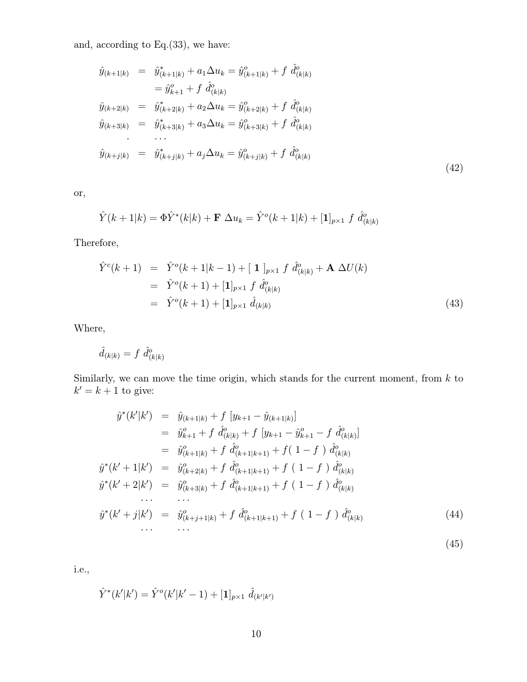and, according to Eq.(33), we have:

$$
\hat{y}_{(k+1|k)} = \hat{y}_{(k+1|k)}^* + a_1 \Delta u_k = \hat{y}_{(k+1|k)}^o + f \hat{d}_{(k|k)}^o
$$
\n
$$
= \hat{y}_{k+1}^o + f \hat{d}_{(k|k)}^o
$$
\n
$$
\hat{y}_{(k+2|k)} = \hat{y}_{(k+2|k)}^* + a_2 \Delta u_k = \hat{y}_{(k+2|k)}^o + f \hat{d}_{(k|k)}^o
$$
\n
$$
\hat{y}_{(k+3|k)} = \hat{y}_{(k+3|k)}^* + a_3 \Delta u_k = \hat{y}_{(k+3|k)}^o + f \hat{d}_{(k|k)}^o
$$
\n
$$
\dots
$$
\n
$$
\hat{y}_{(k+j|k)} = \hat{y}_{(k+j|k)}^* + a_j \Delta u_k = \hat{y}_{(k+j|k)}^o + f \hat{d}_{(k|k)}^o
$$
\n
$$
(42)
$$

or,

$$
\hat{Y}(k+1|k) = \Phi \hat{Y}^*(k|k) + \mathbf{F} \Delta u_k = \hat{Y}^o(k+1|k) + [\mathbf{1}]_{p \times 1} f \hat{d}^o_{(k|k)}
$$

Therefore,

$$
\hat{Y}^{c}(k+1) = \hat{Y}^{o}(k+1|k-1) + [\mathbf{1}]_{p\times 1} f \hat{d}^{o}_{(k|k)} + \mathbf{A} \Delta U(k)
$$
  
\n
$$
= \hat{Y}^{o}(k+1) + [\mathbf{1}]_{p\times 1} f \hat{d}^{o}_{(k|k)}
$$
  
\n
$$
= \hat{Y}^{o}(k+1) + [\mathbf{1}]_{p\times 1} \hat{d}_{(k|k)}
$$
\n(43)

Where,

$$
\hat{d}_{(k|k)} = f \; \hat{d}^o_{(k|k)}
$$

Similarly, we can move the time origin, which stands for the current moment, from  $k$  to  $k' = k + 1$  to give:

$$
\hat{y}^*(k'|k') = \hat{y}_{(k+1|k)} + f [y_{k+1} - \hat{y}_{(k+1|k)}]
$$
\n
$$
= \hat{y}_{k+1}^o + f \hat{d}_{(k|k)}^o + f [y_{k+1} - \hat{y}_{k+1}^o - f \hat{d}_{(k|k)}^o]
$$
\n
$$
= \hat{y}_{(k+1|k)}^o + f \hat{d}_{(k+1|k+1)}^o + f (1 - f) \hat{d}_{(k|k)}^o
$$
\n
$$
\hat{y}^*(k' + 1|k') = \hat{y}_{(k+2|k)}^o + f \hat{d}_{(k+1|k+1)}^o + f (1 - f) \hat{d}_{(k|k)}^o
$$
\n
$$
\hat{y}^*(k' + 2|k') = \hat{y}_{(k+3|k)}^o + f \hat{d}_{(k+1|k+1)}^o + f (1 - f) \hat{d}_{(k|k)}^o
$$
\n
$$
\dots \dots
$$
\n
$$
\hat{y}^*(k' + j|k') = \hat{y}_{(k+j+1|k)}^o + f \hat{d}_{(k+1|k+1)}^o + f (1 - f) \hat{d}_{(k|k)}^o
$$
\n
$$
\dots \dots
$$
\n
$$
\dots
$$
\n
$$
(44)
$$

i.e.,

$$
\hat{Y}^*(k'|k') = \hat{Y}^o(k'|k'-1) + [\mathbf{1}]_{p \times 1} \hat{d}_{(k'|k')}
$$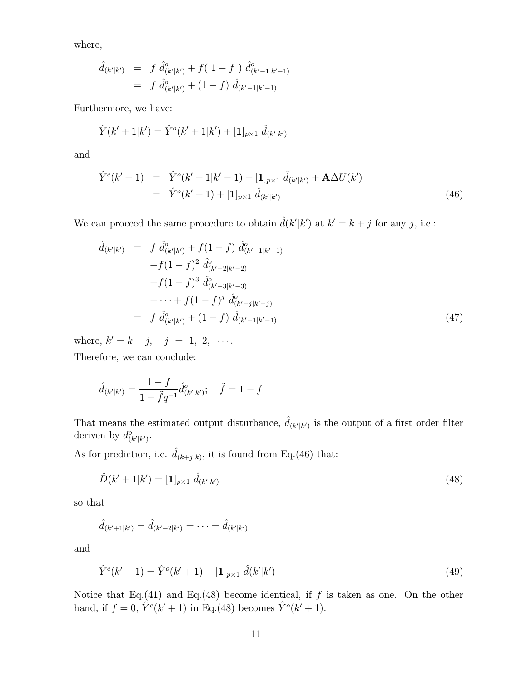where,

$$
\hat{d}_{(k'|k')} = f \hat{d}^o_{(k'|k')} + f(1-f) \hat{d}^o_{(k'-1|k'-1)}
$$
  
=  $f \hat{d}^o_{(k'|k')} + (1-f) \hat{d}_{(k'-1|k'-1)}$ 

Furthermore, we have:

$$
\hat{Y}(k'+1|k') = \hat{Y}^o(k'+1|k') + [\mathbf{1}]_{p\times 1} \hat{d}_{(k'|k')}
$$

and

$$
\hat{Y}^{c}(k'+1) = \hat{Y}^{o}(k'+1|k'-1) + [\mathbf{1}]_{p\times 1} \hat{d}_{(k'|k')} + \mathbf{A}\Delta U(k')
$$
\n
$$
= \hat{Y}^{o}(k'+1) + [\mathbf{1}]_{p\times 1} \hat{d}_{(k'|k')} \tag{46}
$$

We can proceed the same procedure to obtain  $\hat{d}(k'|k')$  at  $k' = k + j$  for any j, i.e.:

$$
\hat{d}_{(k'|k')} = f \hat{d}^{\circ}_{(k'|k')} + f(1-f) \hat{d}^{\circ}_{(k'-1|k'-1)} \n+ f(1-f)^2 \hat{d}^{\circ}_{(k'-2|k'-2)} \n+ f(1-f)^3 \hat{d}^{\circ}_{(k'-3|k'-3)} \n+ \cdots + f(1-f)^j \hat{d}^{\circ}_{(k'-j|k'-j)} \n= f \hat{d}^{\circ}_{(k'|k')} + (1-f) \hat{d}_{(k'-1|k'-1)} \n\tag{47}
$$

where,  $k' = k + j$ ,  $j = 1, 2, \cdots$ .

Therefore, we can conclude:

$$
\hat{d}_{(k'|k')} = \frac{1 - \tilde{f}}{1 - \tilde{f}q^{-1}} \hat{d}^o_{(k'|k')}; \quad \tilde{f} = 1 - f
$$

That means the estimated output disturbance,  $\hat{d}_{(k'|k')}$  is the output of a first order filter deriven by  $d_{(k'|k')}^o$ .

As for prediction, i.e.  $\hat{d}_{(k+j|k)}$ , it is found from Eq.(46) that:

$$
\hat{D}(k'+1|k') = [\mathbf{1}]_{p \times 1} \; \hat{d}_{(k'|k')} \tag{48}
$$

so that

$$
\hat{d}_{(k'+1|k')} = \hat{d}_{(k'+2|k')} = \cdots = \hat{d}_{(k'|k')}
$$

and

$$
\hat{Y}^{c}(k'+1) = \hat{Y}^{o}(k'+1) + [\mathbf{1}]_{p\times 1} \hat{d}(k'|k')
$$
\n(49)

Notice that Eq.(41) and Eq.(48) become identical, if  $f$  is taken as one. On the other hand, if  $f = 0$ ,  $\hat{Y}^c(k' + 1)$  in Eq.(48) becomes  $\hat{Y}^o(k' + 1)$ .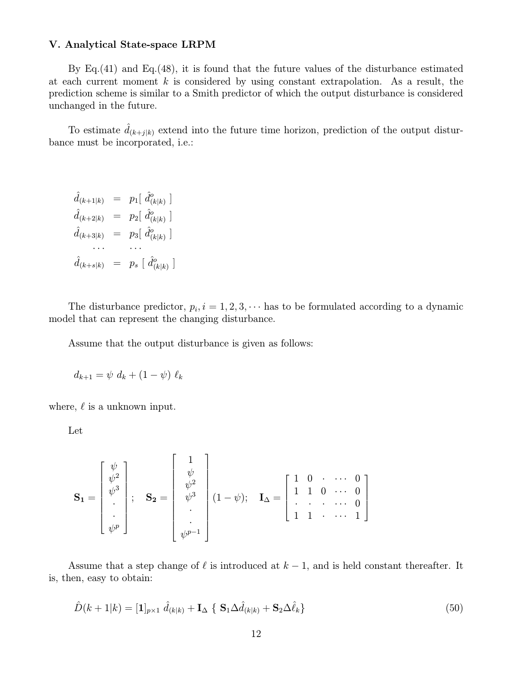#### V. Analytical State-space LRPM

By Eq.  $(41)$  and Eq.  $(48)$ , it is found that the future values of the disturbance estimated at each current moment  $k$  is considered by using constant extrapolation. As a result, the prediction scheme is similar to a Smith predictor of which the output disturbance is considered unchanged in the future.

To estimate  $\hat{d}_{(k+j|k)}$  extend into the future time horizon, prediction of the output disturbance must be incorporated, i.e.:

 $\hat{d}_{(k+1|k)} = p_1 \left[ \hat{d}_{(k|k)}^o \right]$  $\hat{d}_{(k+2|k)}$  =  $p_2\left[\ \hat{d}_{(k|k)}^o\ \right]$  $\hat{d}_{(k+3|k)}$  =  $p_3\left[\ \hat{d}_{(k|k)}^o\ \right]$ ··· ···  $\hat{d}_{(k+s|k)} = p_s \; [\; \hat{d}^o_{(k|k)} \; ]$ 

The disturbance predictor,  $p_i$ ,  $i = 1, 2, 3, \cdots$  has to be formulated according to a dynamic model that can represent the changing disturbance.

Assume that the output disturbance is given as follows:

$$
d_{k+1} = \psi \ d_k + (1 - \psi) \ \ell_k
$$

where,  $\ell$  is a unknown input.

Let

$$
\mathbf{S}_{1} = \begin{bmatrix} \psi \\ \psi^{2} \\ \vdots \\ \psi^{p} \end{bmatrix}; \quad \mathbf{S}_{2} = \begin{bmatrix} 1 \\ \psi \\ \psi^{2} \\ \vdots \\ \psi^{p-1} \end{bmatrix} (1 - \psi); \quad \mathbf{I}_{\Delta} = \begin{bmatrix} 1 & 0 & \cdots & 0 \\ 1 & 1 & 0 & \cdots & 0 \\ \vdots & \vdots & \ddots & \vdots & \vdots \\ 1 & 1 & \cdots & 1 \end{bmatrix}
$$

Assume that a step change of  $\ell$  is introduced at  $k-1$ , and is held constant thereafter. It is, then, easy to obtain:

$$
\hat{D}(k+1|k) = [\mathbf{1}]_{p\times 1} \; \hat{d}_{(k|k)} + \mathbf{I}_{\Delta} \; \{ \; \mathbf{S}_1 \Delta \hat{d}_{(k|k)} + \mathbf{S}_2 \Delta \hat{\ell}_k \} \tag{50}
$$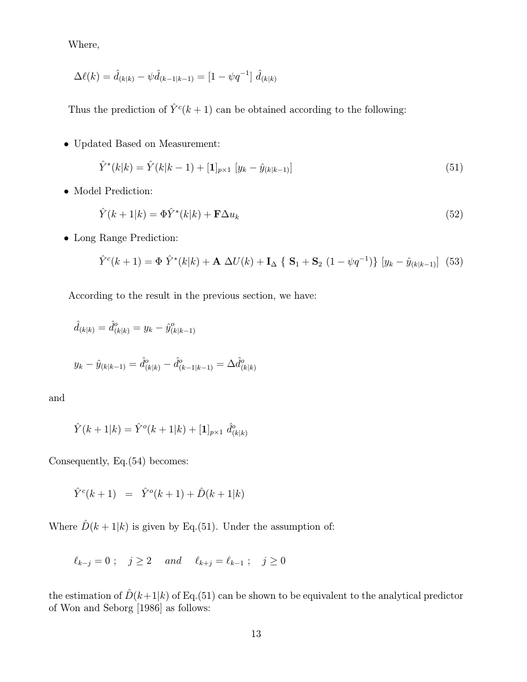Where,

$$
\Delta \ell(k) = \hat{d}_{(k|k)} - \psi \hat{d}_{(k-1|k-1)} = [1 - \psi q^{-1}] \hat{d}_{(k|k)}
$$

Thus the prediction of  $\hat{Y}^c(k+1)$  can be obtained according to the following:

• Updated Based on Measurement:

$$
\hat{Y}^*(k|k) = \hat{Y}(k|k-1) + [\mathbf{1}]_{p \times 1} \left[ y_k - \hat{y}_{(k|k-1)} \right] \tag{51}
$$

• Model Prediction:

$$
\hat{Y}(k+1|k) = \Phi \hat{Y}^*(k|k) + \mathbf{F} \Delta u_k \tag{52}
$$

• Long Range Prediction:

$$
\hat{Y}^{c}(k+1) = \Phi \hat{Y}^{*}(k|k) + \mathbf{A} \Delta U(k) + \mathbf{I}_{\Delta} \{ \mathbf{S}_{1} + \mathbf{S}_{2} (1 - \psi q^{-1}) \} [y_{k} - \hat{y}_{(k|k-1)}] (53)
$$

According to the result in the previous section, we have:

$$
\hat{d}_{(k|k)} = \hat{d}^o_{(k|k)} = y_k - \hat{y}^o_{(k|k-1)}
$$
  

$$
y_k - \hat{y}_{(k|k-1)} = \hat{d}^o_{(k|k)} - \hat{d}^o_{(k-1|k-1)} = \Delta \hat{d}^o_{(k|k)}
$$

and

$$
\hat{Y}(k+1|k) = \hat{Y}^o(k+1|k) + [\mathbf{1}]_{p \times 1} \hat{d}^o_{(k|k)}
$$

Consequently, Eq.(54) becomes:

$$
\hat{Y}^c(k+1) = \hat{Y}^o(k+1) + \hat{D}(k+1|k)
$$

Where  $\hat{D}(k+1|k)$  is given by Eq.(51). Under the assumption of:

$$
\ell_{k-j}=0\ ;\quad j\geq 2 \quad \textit{ and }\quad \ell_{k+j}=\ell_{k-1}\ ;\quad j\geq 0
$$

the estimation of  $\hat{D}(k+1|k)$  of Eq.(51) can be shown to be equivalent to the analytical predictor of Won and Seborg [1986] as follows: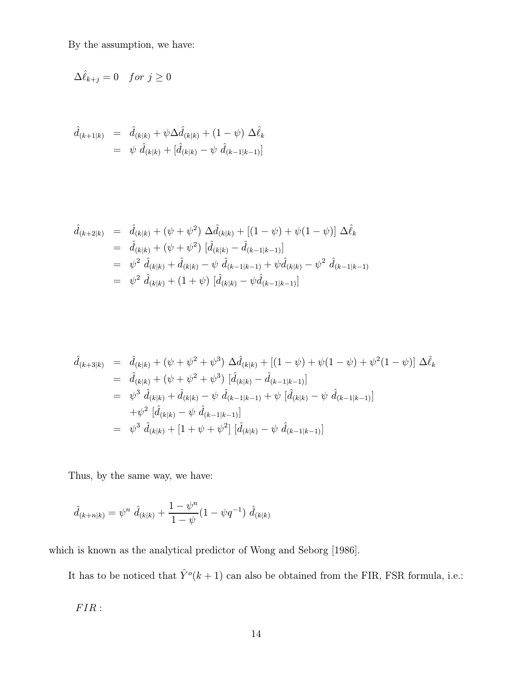By the assumption, we have:

$$
\Delta \hat{\ell}_{k+j} = 0 \quad \text{for } j \ge 0
$$

$$
\hat{d}_{(k+1|k)} = \hat{d}_{(k|k)} + \psi \Delta \hat{d}_{(k|k)} + (1 - \psi) \Delta \hat{\ell}_k \n= \psi \hat{d}_{(k|k)} + [\hat{d}_{(k|k)} - \psi \hat{d}_{(k-1|k-1)}]
$$

$$
\hat{d}_{(k+2|k)} = \hat{d}_{(k|k)} + (\psi + \psi^2) \Delta \hat{d}_{(k|k)} + [(1 - \psi) + \psi(1 - \psi)] \Delta \hat{\ell}_k \n= \hat{d}_{(k|k)} + (\psi + \psi^2) [\hat{d}_{(k|k)} - \hat{d}_{(k-1|k-1)}] \n= \psi^2 \hat{d}_{(k|k)} + \hat{d}_{(k|k)} - \psi \hat{d}_{(k-1|k-1)} + \psi \hat{d}_{(k|k)} - \psi^2 \hat{d}_{(k-1|k-1)} \n= \psi^2 \hat{d}_{(k|k)} + (1 + \psi) [\hat{d}_{(k|k)} - \psi \hat{d}_{(k-1|k-1)}]
$$

$$
\hat{d}_{(k+3|k)} = \hat{d}_{(k|k)} + (\psi + \psi^2 + \psi^3) \Delta \hat{d}_{(k|k)} + [(1 - \psi) + \psi(1 - \psi) + \psi^2(1 - \psi)] \Delta \hat{\ell}_k \n= \hat{d}_{(k|k)} + (\psi + \psi^2 + \psi^3) [\hat{d}_{(k|k)} - \hat{d}_{(k-1|k-1)}] \n= \psi^3 \hat{d}_{(k|k)} + \hat{d}_{(k|k)} - \psi \hat{d}_{(k-1|k-1)} + \psi [\hat{d}_{(k|k)} - \psi \hat{d}_{(k-1|k-1)}] \n+ \psi^2 [\hat{d}_{(k|k)} - \psi \hat{d}_{(k-1|k-1)}] \n= \psi^3 \hat{d}_{(k|k)} + [1 + \psi + \psi^2] [\hat{d}_{(k|k)} - \psi \hat{d}_{(k-1|k-1)}]
$$

Thus, by the same way, we have:

$$
\hat{d}_{(k+n|k)} = \psi^n \; \hat{d}_{(k|k)} + \frac{1-\psi^n}{1-\psi} (1-\psi q^{-1}) \; \hat{d}_{(k|k)}
$$

which is known as the analytical predictor of Wong and Seborg [1986].

It has to be noticed that  $\hat{Y}^o(k+1)$  can also be obtained from the FIR, FSR formula, i.e.:

 $FIR$  :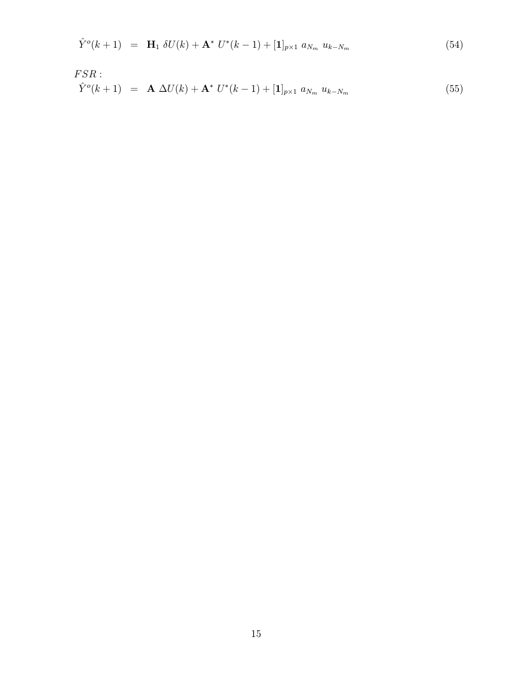$$
\hat{Y}^{o}(k+1) = \mathbf{H}_{1} \delta U(k) + \mathbf{A}^{*} U^{*}(k-1) + [\mathbf{1}]_{p\times 1} a_{N_{m}} u_{k-N_{m}}
$$
(54)

$$
FSR: \hat{Y}^{o}(k+1) = \mathbf{A} \Delta U(k) + \mathbf{A}^{*} U^{*}(k-1) + [\mathbf{1}]_{p\times 1} a_{N_{m}} u_{k-N_{m}}
$$
(55)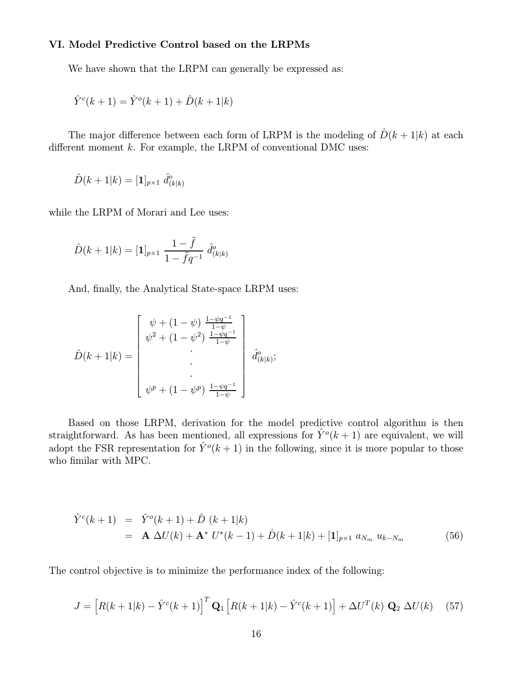### VI. Model Predictive Control based on the LRPMs

We have shown that the LRPM can generally be expressed as:

$$
\hat{Y}^c(k+1) = \hat{Y}^o(k+1) + \hat{D}(k+1|k)
$$

The major difference between each form of LRPM is the modeling of  $\hat{D}(k+1|k)$  at each different moment  $k$ . For example, the LRPM of conventional DMC uses:

$$
\hat{D}(k+1|k) = [\mathbf{1}]_{p \times 1} \; \hat{d}^o_{(k|k)}
$$

while the LRPM of Morari and Lee uses:

$$
\hat{D}(k+1|k) = [\mathbf{1}]_{p \times 1} \; \frac{1-\tilde{f}}{1-\tilde{f}q^{-1}} \; \hat{d}^o_{(k|k)}
$$

And, finally, the Analytical State-space LRPM uses:

$$
\hat{D}(k+1|k) = \begin{bmatrix} \psi + (1-\psi) \frac{1-\psi q^{-1}}{1-\psi} \\ \psi^2 + (1-\psi^2) \frac{1-\psi q^{-1}}{1-\psi} \\ \cdot \\ \cdot \\ \psi^p + (1-\psi^p) \frac{1-\psi q^{-1}}{1-\psi} \end{bmatrix} \hat{d}^o_{(k|k)};
$$

Based on those LRPM, derivation for the model predictive control algorithm is then straightforward. As has been mentioned, all expressions for  $\hat{Y}^o(k+1)$  are equivalent, we will adopt the FSR representation for  $\hat{Y}^o(k+1)$  in the following, since it is more popular to those who fimilar with MPC.

$$
\hat{Y}^{c}(k+1) = \hat{Y}^{o}(k+1) + \hat{D}(k+1|k) \n= \mathbf{A} \Delta U(k) + \mathbf{A}^{*} U^{*}(k-1) + \hat{D}(k+1|k) + [\mathbf{1}]_{p\times 1} a_{N_{m}} u_{k-N_{m}}
$$
\n(56)

The control objective is to minimize the performance index of the following:

$$
J = \left[ R(k+1|k) - \hat{Y}^c(k+1) \right]^T \mathbf{Q}_1 \left[ R(k+1|k) - \hat{Y}^c(k+1) \right] + \Delta U^T(k) \mathbf{Q}_2 \Delta U(k) \tag{57}
$$